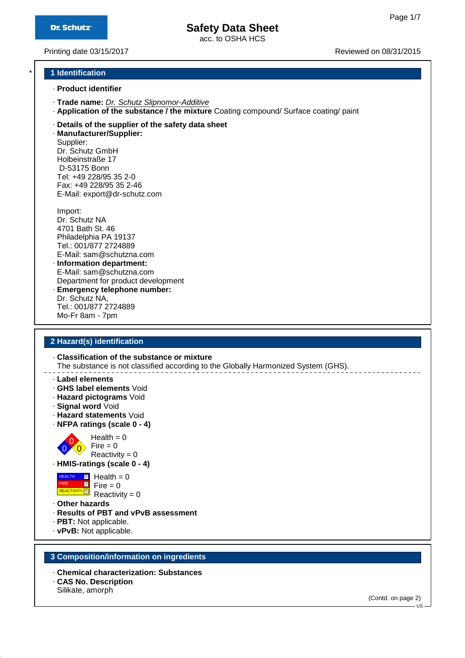acc. to OSHA HCS

Printing date 03/15/2017 **Printing date 03/15/2017** Reviewed on 08/31/2015

### \* **1 Identification**

- · **Product identifier**
- · **Trade name:** Dr. Schutz Slipnomor-Additive
- · **Application of the substance / the mixture** Coating compound/ Surface coating/ paint
- · **Details of the supplier of the safety data sheet**

· **Manufacturer/Supplier:** Supplier: Dr. Schutz GmbH Holbeinstraße 17 D-53175 Bonn Tel: +49 228/95 35 2-0 Fax: +49 228/95 35 2-46 E-Mail: export@dr-schutz.com

Import: Dr. Schutz NA 4701 Bath St. 46 Philadelphia PA 19137 Tel.: 001/877 2724889 E-Mail: sam@schutzna.com · **Information department:**

- E-Mail: sam@schutzna.com Department for product development · **Emergency telephone number:** Dr. Schutz NA,
- Tel.: 001/877 2724889 Mo-Fr 8am - 7pm

### **2 Hazard(s) identification**

· **Classification of the substance or mixture**

The substance is not classified according to the Globally Harmonized System (GHS).

- · **Label elements**
- · **GHS label elements** Void
- · **Hazard pictograms** Void
- · **Signal word** Void
- · **Hazard statements** Void
- · **NFPA ratings (scale 0 4)**



 $Reactivity = 0$ · **HMIS-ratings (scale 0 - 4)**



- $Fire = 0$  $Reactivity = 0$
- · **Other hazards**
- · **Results of PBT and vPvB assessment**
- · **PBT:** Not applicable.
- · **vPvB:** Not applicable.

### **3 Composition/information on ingredients**

- · **Chemical characterization: Substances**
- · **CAS No. Description**
- Silikate, amorph

(Contd. on page 2)

 $\overline{\mathsf{L}}$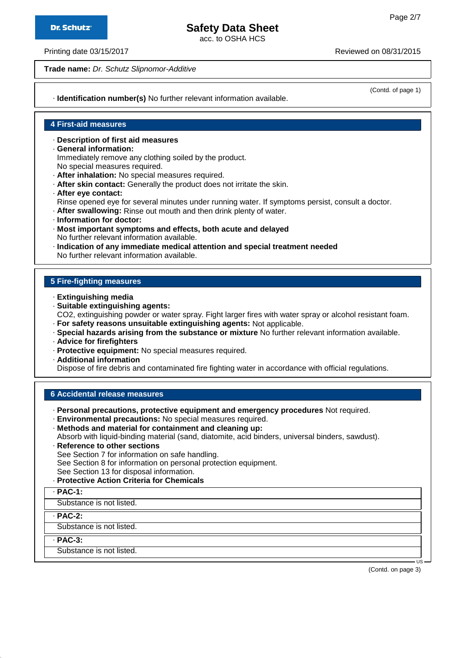acc. to OSHA HCS

Printing date 03/15/2017 Reviewed on 08/31/2015

**Trade name:** Dr. Schutz Slipnomor-Additive

(Contd. of page 1)

· **Identification number(s)** No further relevant information available.

### **4 First-aid measures**

- · **Description of first aid measures**
- · **General information:** Immediately remove any clothing soiled by the product. No special measures required.
- · **After inhalation:** No special measures required.
- · **After skin contact:** Generally the product does not irritate the skin.
- · **After eye contact:**
- Rinse opened eye for several minutes under running water. If symptoms persist, consult a doctor.
- · **After swallowing:** Rinse out mouth and then drink plenty of water.
- · **Information for doctor:**
- · **Most important symptoms and effects, both acute and delayed** No further relevant information available.
- · **Indication of any immediate medical attention and special treatment needed** No further relevant information available.

### **5 Fire-fighting measures**

- · **Extinguishing media**
- · **Suitable extinguishing agents:**
- CO2, extinguishing powder or water spray. Fight larger fires with water spray or alcohol resistant foam.
- · **For safety reasons unsuitable extinguishing agents:** Not applicable.
- · **Special hazards arising from the substance or mixture** No further relevant information available.
- · **Advice for firefighters**
- · **Protective equipment:** No special measures required.
- · **Additional information**

Dispose of fire debris and contaminated fire fighting water in accordance with official regulations.

### **6 Accidental release measures**

- · **Personal precautions, protective equipment and emergency procedures** Not required.
- · **Environmental precautions:** No special measures required. · **Methods and material for containment and cleaning up:**
- Absorb with liquid-binding material (sand, diatomite, acid binders, universal binders, sawdust).
- · **Reference to other sections** See Section 7 for information on safe handling.
- See Section 8 for information on personal protection equipment.
- See Section 13 for disposal information.
- · **Protective Action Criteria for Chemicals**
- · **PAC-1:**

Substance is not listed.

· **PAC-2:**

Substance is not listed.

· **PAC-3:**

Substance is not listed.

(Contd. on page 3)

US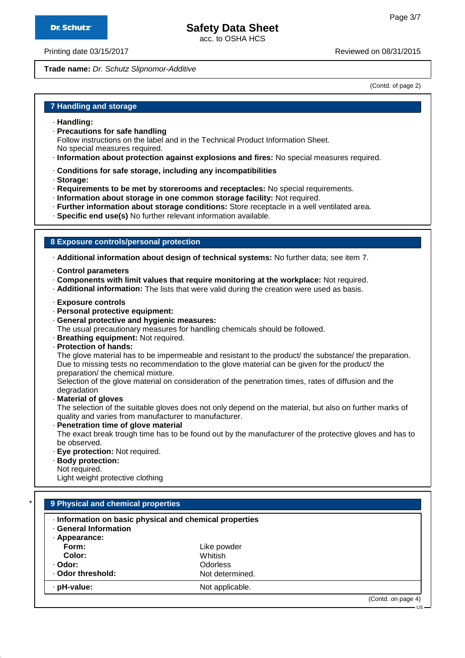acc. to OSHA HCS

Printing date 03/15/2017 Reviewed on 08/31/2015

**Trade name:** Dr. Schutz Slipnomor-Additive

(Contd. of page 2)

### **7 Handling and storage**

- · **Handling:**
- · **Precautions for safe handling** Follow instructions on the label and in the Technical Product Information Sheet. No special measures required.
- · **Information about protection against explosions and fires:** No special measures required.
- · **Conditions for safe storage, including any incompatibilities**
- · **Storage:**
- · **Requirements to be met by storerooms and receptacles:** No special requirements.
- · **Information about storage in one common storage facility:** Not required.
- · **Further information about storage conditions:** Store receptacle in a well ventilated area.
- · **Specific end use(s)** No further relevant information available.

### **8 Exposure controls/personal protection**

· **Additional information about design of technical systems:** No further data; see item 7.

- · **Control parameters**
- · **Components with limit values that require monitoring at the workplace:** Not required.
- · **Additional information:** The lists that were valid during the creation were used as basis.
- · **Exposure controls**
- · **Personal protective equipment:**
- · **General protective and hygienic measures:**

The usual precautionary measures for handling chemicals should be followed.

- · **Breathing equipment:** Not required.
- · **Protection of hands:**

The glove material has to be impermeable and resistant to the product/ the substance/ the preparation. Due to missing tests no recommendation to the glove material can be given for the product/ the preparation/ the chemical mixture.

Selection of the glove material on consideration of the penetration times, rates of diffusion and the degradation

· **Material of gloves**

The selection of the suitable gloves does not only depend on the material, but also on further marks of quality and varies from manufacturer to manufacturer.

· **Penetration time of glove material**

The exact break trough time has to be found out by the manufacturer of the protective gloves and has to be observed.

- · **Eye protection:** Not required.
- · **Body protection:**

Not required.

Light weight protective clothing

| · Information on basic physical and chemical properties<br><b>General Information</b> |                 |  |
|---------------------------------------------------------------------------------------|-----------------|--|
| · Appearance:                                                                         |                 |  |
| Form:                                                                                 | Like powder     |  |
| Color:                                                                                | Whitish         |  |
| · Odor:                                                                               | <b>Odorless</b> |  |
| · Odor threshold:                                                                     | Not determined. |  |
| · pH-value:                                                                           | Not applicable. |  |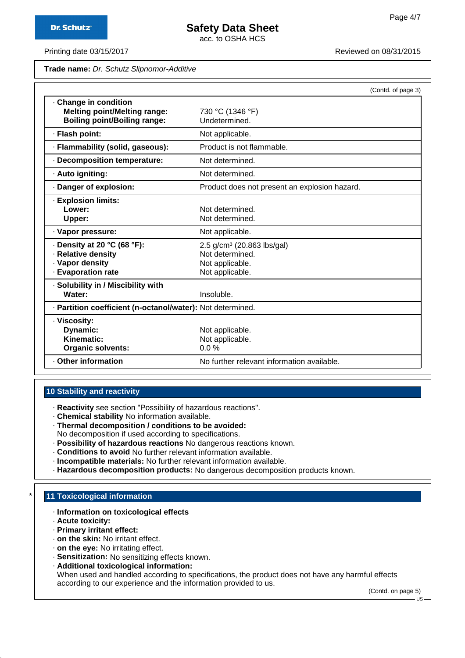acc. to OSHA HCS

Printing date 03/15/2017 **Printing date 03/15/2017** Reviewed on 08/31/2015

**Trade name:** Dr. Schutz Slipnomor-Additive

|                                                                                                   |                                                                                                 | (Contd. of page 3) |
|---------------------------------------------------------------------------------------------------|-------------------------------------------------------------------------------------------------|--------------------|
| Change in condition<br><b>Melting point/Melting range:</b><br><b>Boiling point/Boiling range:</b> | 730 °C (1346 °F)<br>Undetermined.                                                               |                    |
| · Flash point:                                                                                    | Not applicable.                                                                                 |                    |
| · Flammability (solid, gaseous):                                                                  | Product is not flammable.                                                                       |                    |
| · Decomposition temperature:                                                                      | Not determined.                                                                                 |                    |
| · Auto igniting:                                                                                  | Not determined.                                                                                 |                    |
| Danger of explosion:                                                                              | Product does not present an explosion hazard.                                                   |                    |
| · Explosion limits:<br>Lower:<br>Upper:                                                           | Not determined.<br>Not determined.                                                              |                    |
| · Vapor pressure:                                                                                 | Not applicable.                                                                                 |                    |
| $\cdot$ Density at 20 °C (68 °F):<br>· Relative density<br>· Vapor density<br>· Evaporation rate  | 2.5 g/cm <sup>3</sup> (20.863 lbs/gal)<br>Not determined.<br>Not applicable.<br>Not applicable. |                    |
| · Solubility in / Miscibility with<br>Water:                                                      | Insoluble.                                                                                      |                    |
| · Partition coefficient (n-octanol/water): Not determined.                                        |                                                                                                 |                    |
| · Viscosity:<br>Dynamic:<br>Kinematic:<br><b>Organic solvents:</b>                                | Not applicable.<br>Not applicable.<br>$0.0 \%$                                                  |                    |
| Other information                                                                                 | No further relevant information available.                                                      |                    |

### **10 Stability and reactivity**

· **Reactivity** see section "Possibility of hazardous reactions".

- · **Chemical stability** No information available.
- · **Thermal decomposition / conditions to be avoided:**
- No decomposition if used according to specifications.
- · **Possibility of hazardous reactions** No dangerous reactions known.
- · **Conditions to avoid** No further relevant information available.
- · **Incompatible materials:** No further relevant information available.
- · **Hazardous decomposition products:** No dangerous decomposition products known.

### **11 Toxicological information**

- · **Information on toxicological effects**
- · **Acute toxicity:**
- · **Primary irritant effect:**
- · **on the skin:** No irritant effect.
- · **on the eye:** No irritating effect.
- · **Sensitization:** No sensitizing effects known.
- · **Additional toxicological information:**

When used and handled according to specifications, the product does not have any harmful effects according to our experience and the information provided to us.

(Contd. on page 5)

US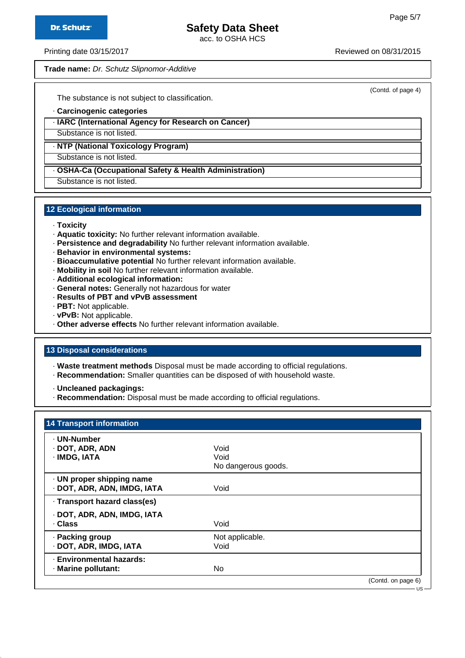(Contd. of page 4)

## **Safety Data Sheet**

acc. to OSHA HCS

Printing date 03/15/2017 **Printing date 03/15/2017** Reviewed on 08/31/2015

**Trade name:** Dr. Schutz Slipnomor-Additive

The substance is not subject to classification.

· **Carcinogenic categories**

· **IARC (International Agency for Research on Cancer)**

Substance is not listed.

· **NTP (National Toxicology Program)**

Substance is not listed.

· **OSHA-Ca (Occupational Safety & Health Administration)**

Substance is not listed.

### **12 Ecological information**

- · **Toxicity**
- · **Aquatic toxicity:** No further relevant information available.
- · **Persistence and degradability** No further relevant information available.
- · **Behavior in environmental systems:**
- · **Bioaccumulative potential** No further relevant information available.
- · **Mobility in soil** No further relevant information available.
- · **Additional ecological information:**
- · **General notes:** Generally not hazardous for water
- · **Results of PBT and vPvB assessment**
- · **PBT:** Not applicable.
- · **vPvB:** Not applicable.
- · **Other adverse effects** No further relevant information available.

### **13 Disposal considerations**

· **Waste treatment methods** Disposal must be made according to official regulations.

· **Recommendation:** Smaller quantities can be disposed of with household waste.

· **Uncleaned packagings:**

· **Recommendation:** Disposal must be made according to official regulations.

| <b>14 Transport information</b>                          |                                     |                              |
|----------------------------------------------------------|-------------------------------------|------------------------------|
| · UN-Number<br>· DOT, ADR, ADN<br>· IMDG, IATA           | Void<br>Void<br>No dangerous goods. |                              |
| · UN proper shipping name<br>· DOT, ADR, ADN, IMDG, IATA | Void                                |                              |
| · Transport hazard class(es)                             |                                     |                              |
| · DOT, ADR, ADN, IMDG, IATA<br>· Class                   | Void                                |                              |
| · Packing group<br>· DOT, ADR, IMDG, IATA                | Not applicable.<br>Void             |                              |
| · Environmental hazards:<br>· Marine pollutant:          | No.                                 |                              |
|                                                          |                                     | (Contd. on page 6)<br>· US - |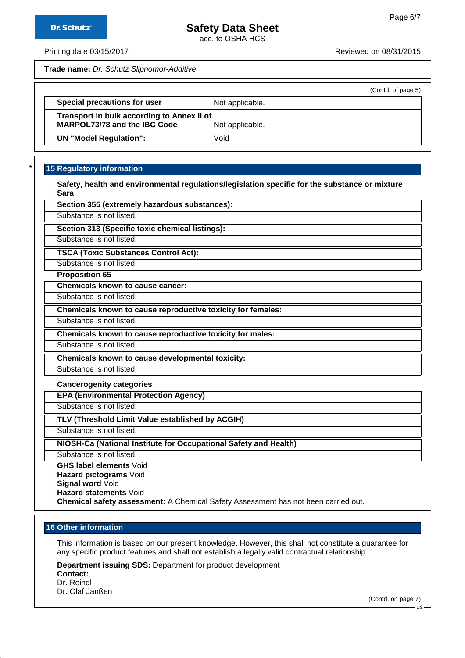acc. to OSHA HCS

Printing date 03/15/2017 **Printing date 03/15/2017** Reviewed on 08/31/2015

**Trade name:** Dr. Schutz Slipnomor-Additive

· **Section 355 (extremely hazardous substances):**

| (Contd. of page 5)                                              |
|-----------------------------------------------------------------|
| Not applicable.                                                 |
| . Transport in bulk according to Annex II of<br>Not applicable. |
| Void                                                            |
|                                                                 |

### **15 Regulatory information**

|        | · Safety, health and environmental regulations/legislation specific for the substance or mixture |  |
|--------|--------------------------------------------------------------------------------------------------|--|
| · Sara |                                                                                                  |  |

| Substance is not listed.                                           |
|--------------------------------------------------------------------|
| · Section 313 (Specific toxic chemical listings):                  |
| Substance is not listed.                                           |
| · TSCA (Toxic Substances Control Act):                             |
| Substance is not listed.                                           |
| · Proposition 65                                                   |
| Chemicals known to cause cancer:                                   |
| Substance is not listed.                                           |
| Chemicals known to cause reproductive toxicity for females:        |
| Substance is not listed.                                           |
| Chemicals known to cause reproductive toxicity for males:          |
| Substance is not listed.                                           |
| Chemicals known to cause developmental toxicity:                   |
| Substance is not listed.                                           |
| Cancerogenity categories                                           |
| · EPA (Environmental Protection Agency)                            |
| Substance is not listed.                                           |
| TLV (Threshold Limit Value established by ACGIH)                   |
| Substance is not listed.                                           |
| · NIOSH-Ca (National Institute for Occupational Safety and Health) |
| Substance is not listed.                                           |
| ⋅ GHS label elements Void                                          |
| · Hazard pictograms Void                                           |

· **Signal word** Void

· **Hazard statements** Void

· **Chemical safety assessment:** A Chemical Safety Assessment has not been carried out.

### **16 Other information**

This information is based on our present knowledge. However, this shall not constitute a guarantee for any specific product features and shall not establish a legally valid contractual relationship.

· **Department issuing SDS:** Department for product development

· **Contact:**

Dr. Reindl

(Contd. on page 7)

Dr. Olaf Janßen

US